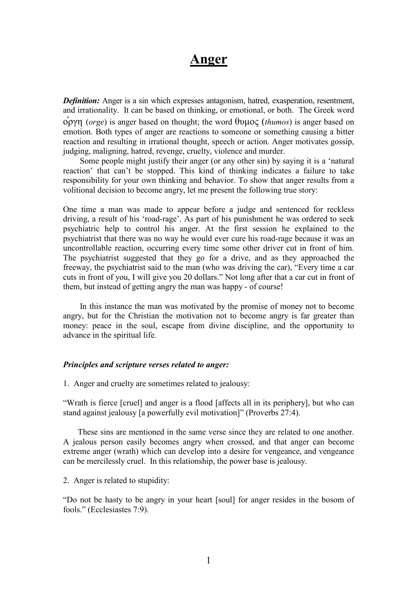## Anger

**Definition:** Anger is a sin which expresses antagonism, hatred, exasperation, resentment, and irrationality. It can be based on thinking, or emotional, or both. The Greek word  $\phi$ ργη (*orge*) is anger based on thought; the word θυμος (*thumos*) is anger based on emotion. Both types of anger are reactions to someone or something causing a bitter reaction and resulting in irrational thought, speech or action. Anger motivates gossip, judging, maligning, hatred, revenge, cruelty, violence and murder.

 Some people might justify their anger (or any other sin) by saying it is a 'natural reaction' that can't be stopped. This kind of thinking indicates a failure to take responsibility for your own thinking and behavior. To show that anger results from a volitional decision to become angry, let me present the following true story:

One time a man was made to appear before a judge and sentenced for reckless driving, a result of his 'road-rage'. As part of his punishment he was ordered to seek psychiatric help to control his anger. At the first session he explained to the psychiatrist that there was no way he would ever cure his road-rage because it was an uncontrollable reaction, occurring every time some other driver cut in front of him. The psychiatrist suggested that they go for a drive, and as they approached the freeway, the psychiatrist said to the man (who was driving the car), "Every time a car cuts in front of you, I will give you 20 dollars." Not long after that a car cut in front of them, but instead of getting angry the man was happy - of course!

 In this instance the man was motivated by the promise of money not to become angry, but for the Christian the motivation not to become angry is far greater than money: peace in the soul, escape from divine discipline, and the opportunity to advance in the spiritual life.

## Principles and scripture verses related to anger:

1. Anger and cruelty are sometimes related to jealousy:

"Wrath is fierce [cruel] and anger is a flood [affects all in its periphery], but who can stand against jealousy [a powerfully evil motivation]" (Proverbs 27:4).

 These sins are mentioned in the same verse since they are related to one another. A jealous person easily becomes angry when crossed, and that anger can become extreme anger (wrath) which can develop into a desire for vengeance, and vengeance can be mercilessly cruel. In this relationship, the power base is jealousy.

2. Anger is related to stupidity:

"Do not be hasty to be angry in your heart [soul] for anger resides in the bosom of fools." (Ecclesiastes 7:9).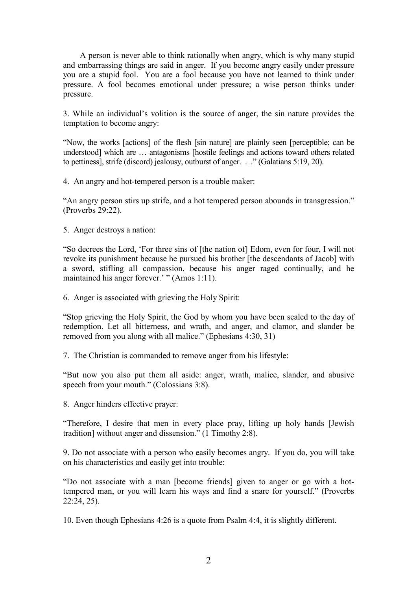A person is never able to think rationally when angry, which is why many stupid and embarrassing things are said in anger. If you become angry easily under pressure you are a stupid fool. You are a fool because you have not learned to think under pressure. A fool becomes emotional under pressure; a wise person thinks under pressure.

3. While an individual's volition is the source of anger, the sin nature provides the temptation to become angry:

"Now, the works [actions] of the flesh [sin nature] are plainly seen [perceptible; can be understood] which are … antagonisms [hostile feelings and actions toward others related to pettiness], strife (discord) jealousy, outburst of anger. . ." (Galatians 5:19, 20).

4. An angry and hot-tempered person is a trouble maker:

"An angry person stirs up strife, and a hot tempered person abounds in transgression." (Proverbs 29:22).

5. Anger destroys a nation:

"So decrees the Lord, 'For three sins of [the nation of] Edom, even for four, I will not revoke its punishment because he pursued his brother [the descendants of Jacob] with a sword, stifling all compassion, because his anger raged continually, and he maintained his anger forever.' " (Amos 1:11).

6. Anger is associated with grieving the Holy Spirit:

"Stop grieving the Holy Spirit, the God by whom you have been sealed to the day of redemption. Let all bitterness, and wrath, and anger, and clamor, and slander be removed from you along with all malice." (Ephesians 4:30, 31)

7. The Christian is commanded to remove anger from his lifestyle:

"But now you also put them all aside: anger, wrath, malice, slander, and abusive speech from your mouth." (Colossians 3:8).

8. Anger hinders effective prayer:

"Therefore, I desire that men in every place pray, lifting up holy hands [Jewish tradition] without anger and dissension." (1 Timothy 2:8).

9. Do not associate with a person who easily becomes angry. If you do, you will take on his characteristics and easily get into trouble:

"Do not associate with a man [become friends] given to anger or go with a hottempered man, or you will learn his ways and find a snare for yourself." (Proverbs 22:24, 25).

10. Even though Ephesians 4:26 is a quote from Psalm 4:4, it is slightly different.